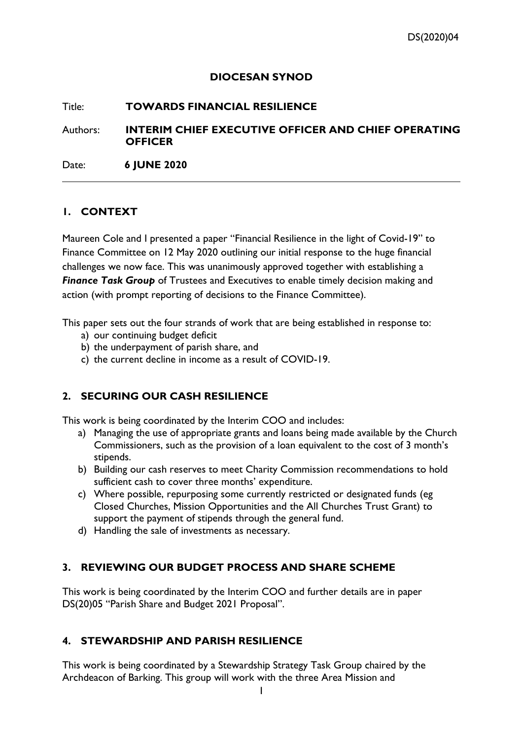#### **DIOCESAN SYNOD**

#### Title: **TOWARDS FINANCIAL RESILIENCE**

Authors: **INTERIM CHIEF EXECUTIVE OFFICER AND CHIEF OPERATING OFFICER**

Date: **6 JUNE 2020**

# **1. CONTEXT**

Maureen Cole and I presented a paper "Financial Resilience in the light of Covid-19" to Finance Committee on 12 May 2020 outlining our initial response to the huge financial challenges we now face. This was unanimously approved together with establishing a **Finance Task Group** of Trustees and Executives to enable timely decision making and action (with prompt reporting of decisions to the Finance Committee).

This paper sets out the four strands of work that are being established in response to:

- a) our continuing budget deficit
- b) the underpayment of parish share, and
- c) the current decline in income as a result of COVID-19.

# **2. SECURING OUR CASH RESILIENCE**

This work is being coordinated by the Interim COO and includes:

- a) Managing the use of appropriate grants and loans being made available by the Church Commissioners, such as the provision of a loan equivalent to the cost of 3 month's stipends.
- b) Building our cash reserves to meet Charity Commission recommendations to hold sufficient cash to cover three months' expenditure.
- c) Where possible, repurposing some currently restricted or designated funds (eg Closed Churches, Mission Opportunities and the All Churches Trust Grant) to support the payment of stipends through the general fund.
- d) Handling the sale of investments as necessary.

### **3. REVIEWING OUR BUDGET PROCESS AND SHARE SCHEME**

This work is being coordinated by the Interim COO and further details are in paper DS(20)05 "Parish Share and Budget 2021 Proposal".

### **4. STEWARDSHIP AND PARISH RESILIENCE**

This work is being coordinated by a Stewardship Strategy Task Group chaired by the Archdeacon of Barking. This group will work with the three Area Mission and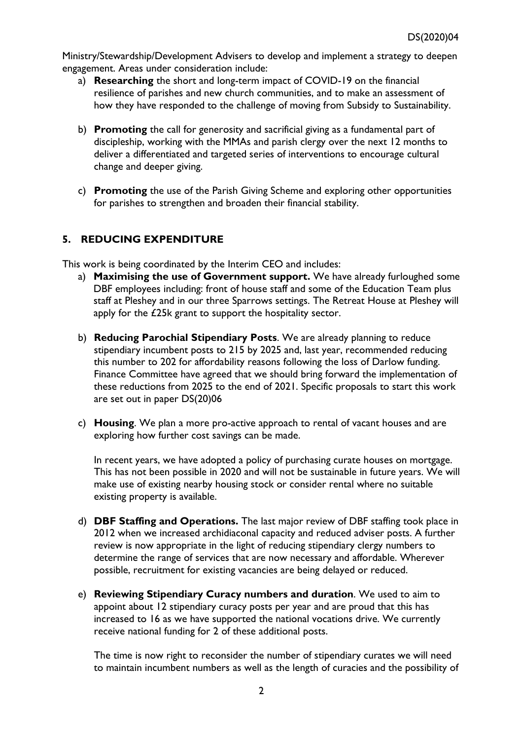Ministry/Stewardship/Development Advisers to develop and implement a strategy to deepen engagement. Areas under consideration include:

- a) **Researching** the short and long-term impact of COVID-19 on the financial resilience of parishes and new church communities, and to make an assessment of how they have responded to the challenge of moving from Subsidy to Sustainability.
- b) **Promoting** the call for generosity and sacrificial giving as a fundamental part of discipleship, working with the MMAs and parish clergy over the next 12 months to deliver a differentiated and targeted series of interventions to encourage cultural change and deeper giving.
- c) **Promoting** the use of the Parish Giving Scheme and exploring other opportunities for parishes to strengthen and broaden their financial stability.

# **5. REDUCING EXPENDITURE**

This work is being coordinated by the Interim CEO and includes:

- a) **Maximising the use of Government support.** We have already furloughed some DBF employees including: front of house staff and some of the Education Team plus staff at Pleshey and in our three Sparrows settings. The Retreat House at Pleshey will apply for the £25k grant to support the hospitality sector.
- b) **Reducing Parochial Stipendiary Posts**. We are already planning to reduce stipendiary incumbent posts to 215 by 2025 and, last year, recommended reducing this number to 202 for affordability reasons following the loss of Darlow funding. Finance Committee have agreed that we should bring forward the implementation of these reductions from 2025 to the end of 2021. Specific proposals to start this work are set out in paper DS(20)06
- c) **Housing**. We plan a more pro-active approach to rental of vacant houses and are exploring how further cost savings can be made.

In recent years, we have adopted a policy of purchasing curate houses on mortgage. This has not been possible in 2020 and will not be sustainable in future years. We will make use of existing nearby housing stock or consider rental where no suitable existing property is available.

- d) **DBF Staffing and Operations.** The last major review of DBF staffing took place in 2012 when we increased archidiaconal capacity and reduced adviser posts. A further review is now appropriate in the light of reducing stipendiary clergy numbers to determine the range of services that are now necessary and affordable. Wherever possible, recruitment for existing vacancies are being delayed or reduced.
- e) **Reviewing Stipendiary Curacy numbers and duration**. We used to aim to appoint about 12 stipendiary curacy posts per year and are proud that this has increased to 16 as we have supported the national vocations drive. We currently receive national funding for 2 of these additional posts.

The time is now right to reconsider the number of stipendiary curates we will need to maintain incumbent numbers as well as the length of curacies and the possibility of